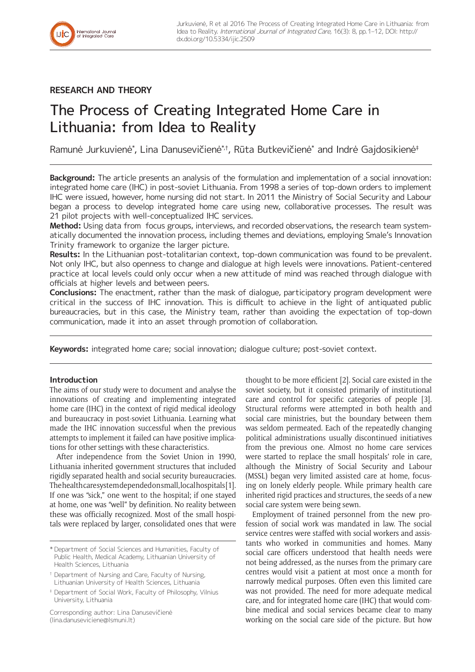# **RESEARCH AND THEORY**

# The Process of Creating Integrated Home Care in Lithuania: from Idea to Reality

Ramunė Jurkuvienė\*, Lina Danusevičienė\*†, Rūta Butkevičienė\* and Indrė Gajdosikienė‡

**Background:** The article presents an analysis of the formulation and implementation of a social innovation: integrated home care (IHC) in post-soviet Lithuania. From 1998 a series of top-down orders to implement IHC were issued, however, home nursing did not start. In 2011 the Ministry of Social Security and Labour began a process to develop integrated home care using new, collaborative processes. The result was 21 pilot projects with well-conceptualized IHC services.

**Method:** Using data from focus groups, interviews, and recorded observations, the research team systematically documented the innovation process, including themes and deviations, employing Smale's Innovation Trinity framework to organize the larger picture.

**Results:** In the Lithuanian post-totalitarian context, top-down communication was found to be prevalent. Not only IHC, but also openness to change and dialogue at high levels were innovations. Patient-centered practice at local levels could only occur when a new attitude of mind was reached through dialogue with officials at higher levels and between peers.

**Conclusions:** The enactment, rather than the mask of dialogue, participatory program development were critical in the success of IHC innovation. This is difficult to achieve in the light of antiquated public bureaucracies, but in this case, the Ministry team, rather than avoiding the expectation of top-down communication, made it into an asset through promotion of collaboration.

**Keywords:** integrated home care; social innovation; dialogue culture; post-soviet context.

## **Introduction**

The aims of our study were to document and analyse the innovations of creating and implementing integrated home care (IHC) in the context of rigid medical ideology and bureaucracy in post-soviet Lithuania. Learning what made the IHC innovation successful when the previous attempts to implement it failed can have positive implications for other settings with these characteristics.

After independence from the Soviet Union in 1990, Lithuania inherited government structures that included rigidly separated health and social security bureaucracies. The health care system depended on small, local hospitals [1]. If one was "sick," one went to the hospital; if one stayed at home, one was "well" by definition. No reality between these was officially recognized. Most of the small hospitals were replaced by larger, consolidated ones that were

Corresponding author: Lina Danusevičienė [\(lina.danuseviciene@lsmuni.lt](mailto:lina.danuseviciene@lsmuni.lt))

thought to be more efficient [2]. Social care existed in the soviet society, but it consisted primarily of institutional care and control for specific categories of people [3]. Structural reforms were attempted in both health and social care ministries, but the boundary between them was seldom permeated. Each of the repeatedly changing political administrations usually discontinued initiatives from the previous one. Almost no home care services were started to replace the small hospitals' role in care, although the Ministry of Social Security and Labour (MSSL) began very limited assisted care at home, focusing on lonely elderly people. While primary health care inherited rigid practices and structures, the seeds of a new social care system were being sewn.

Employment of trained personnel from the new profession of social work was mandated in law. The social service centres were staffed with social workers and assistants who worked in communities and homes. Many social care officers understood that health needs were not being addressed, as the nurses from the primary care centres would visit a patient at most once a month for narrowly medical purposes. Often even this limited care was not provided. The need for more adequate medical care, and for integrated home care (IHC) that would combine medical and social services became clear to many working on the social care side of the picture. But how

<sup>\*</sup> Department of Social Sciences and Humanities, Faculty of Public Health, Medical Academy, Lithuanian University of Health Sciences, Lithuania

<sup>†</sup> Department of Nursing and Care, Faculty of Nursing, Lithuanian University of Health Sciences, Lithuania

<sup>‡</sup> Department of Social Work, Faculty of Philosophy, Vilnius University, Lithuania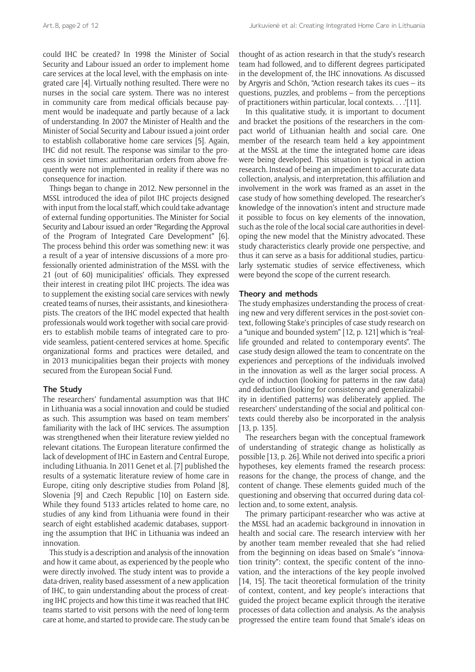could IHC be created? In 1998 the Minister of Social Security and Labour issued an order to implement home care services at the local level, with the emphasis on integrated care [4]. Virtually nothing resulted. There were no nurses in the social care system. There was no interest in community care from medical officials because payment would be inadequate and partly because of a lack of understanding. In 2007 the Minister of Health and the Minister of Social Security and Labour issued a joint order to establish collaborative home care services [5]. Again, IHC did not result. The response was similar to the process in soviet times: authoritarian orders from above frequently were not implemented in reality if there was no consequence for inaction.

Things began to change in 2012. New personnel in the MSSL introduced the idea of pilot IHC projects designed with input from the local staff, which could take advantage of external funding opportunities. The Minister for Social Security and Labour issued an order "Regarding the Approval of the Program of Integrated Care Development" [6]. The process behind this order was something new: it was a result of a year of intensive discussions of a more professionally oriented administration of the MSSL with the 21 (out of 60) municipalities' officials. They expressed their interest in creating pilot IHC projects. The idea was to supplement the existing social care services with newly created teams of nurses, their assistants, and kinesiotherapists. The creators of the IHC model expected that health professionals would work together with social care providers to establish mobile teams of integrated care to provide seamless, patient-centered services at home. Specific organizational forms and practices were detailed, and in 2013 municipalities began their projects with money secured from the European Social Fund.

#### **The Study**

The researchers' fundamental assumption was that IHC in Lithuania was a social innovation and could be studied as such. This assumption was based on team members' familiarity with the lack of IHC services. The assumption was strengthened when their literature review yielded no relevant citations. The European literature confirmed the lack of development of IHC in Eastern and Central Europe, including Lithuania. In 2011 Genet et al. [7] published the results of a systematic literature review of home care in Europe, citing only descriptive studies from Poland [8], Slovenia [9] and Czech Republic [10] on Eastern side. While they found 5133 articles related to home care, no studies of any kind from Lithuania were found in their search of eight established academic databases, supporting the assumption that IHC in Lithuania was indeed an innovation.

This study is a description and analysis of the innovation and how it came about, as experienced by the people who were directly involved. The study intent was to provide a data-driven, reality based assessment of a new application of IHC, to gain understanding about the process of creating IHC projects and how this time it was reached that IHC teams started to visit persons with the need of long-term care at home, and started to provide care. The study can be thought of as action research in that the study's research team had followed, and to different degrees participated in the development of, the IHC innovations. As discussed by Argyris and Schön, "Action research takes its cues – its questions, puzzles, and problems – from the perceptions of practitioners within particular, local contexts. . . .'[11].

In this qualitative study, it is important to document and bracket the positions of the researchers in the compact world of Lithuanian health and social care. One member of the research team held a key appointment at the MSSL at the time the integrated home care ideas were being developed. This situation is typical in action research. Instead of being an impediment to accurate data collection, analysis, and interpretation, this affiliation and involvement in the work was framed as an asset in the case study of how something developed. The researcher's knowledge of the innovation's intent and structure made it possible to focus on key elements of the innovation, such as the role of the local social care authorities in developing the new model that the Ministry advocated. These study characteristics clearly provide one perspective, and thus it can serve as a basis for additional studies, particularly systematic studies of service effectiveness, which were beyond the scope of the current research.

#### **Theory and methods**

The study emphasizes understanding the process of creating new and very different services in the post-soviet context, following Stake's principles of case study research on a "unique and bounded system" [12, p. 121] which is "reallife grounded and related to contemporary events". The case study design allowed the team to concentrate on the experiences and perceptions of the individuals involved in the innovation as well as the larger social process. A cycle of induction (looking for patterns in the raw data) and deduction (looking for consistency and generalizability in identified patterns) was deliberately applied. The researchers' understanding of the social and political contexts could thereby also be incorporated in the analysis [13, p. 135].

The researchers began with the conceptual framework of understanding of strategic change as holistically as possible [13, p. 26]. While not derived into specific a priori hypotheses, key elements framed the research process: reasons for the change, the process of change, and the content of change. These elements guided much of the questioning and observing that occurred during data collection and, to some extent, analysis.

The primary participant-researcher who was active at the MSSL had an academic background in innovation in health and social care. The research interview with her by another team member revealed that she had relied from the beginning on ideas based on Smale's "innovation trinity": context, the specific content of the innovation, and the interactions of the key people involved [14, 15]. The tacit theoretical formulation of the trinity of context, content, and key people's interactions that guided the project became explicit through the iterative processes of data collection and analysis. As the analysis progressed the entire team found that Smale's ideas on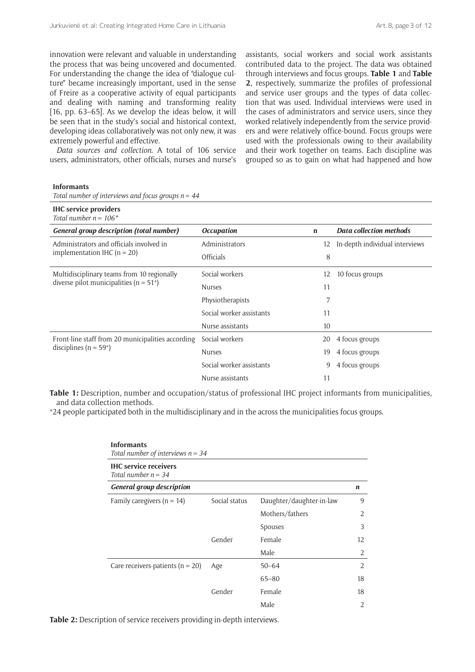innovation were relevant and valuable in understanding the process that was being uncovered and documented. For understanding the change the idea of "dialogue culture" became increasingly important, used in the sense of Freire as a cooperative activity of equal participants and dealing with naming and transforming reality [16, pp. 63–65]. As we develop the ideas below, it will be seen that in the study's social and historical context, developing ideas collaboratively was not only new, it was extremely powerful and effective.

*Data sources and collection*. A total of 106 service users, administrators, other officials, nurses and nurse's assistants, social workers and social work assistants contributed data to the project. The data was obtained through interviews and focus groups. **Table 1** and **Table 2**, respectively, summarize the profiles of professional and service user groups and the types of data collection that was used. Individual interviews were used in the cases of administrators and service users, since they worked relatively independently from the service providers and were relatively office-bound. Focus groups were used with the professionals owing to their availability and their work together on teams. Each discipline was grouped so as to gain on what had happened and how

#### **Informants**

| Total number of interviews and focus groups $n = 44$ |  |  |  |  |
|------------------------------------------------------|--|--|--|--|
|                                                      |  |  |  |  |

| <b>IHC</b> service providers<br>Total number $n = 106^*$ |                                         |    |                                |
|----------------------------------------------------------|-----------------------------------------|----|--------------------------------|
| <b>General group description (total number)</b>          | <i><b>Occupation</b></i><br>$\mathbf n$ |    | <b>Data collection methods</b> |
| Administrators and officials involved in                 | Administrators                          | 12 | In-depth individual interviews |
| implementation IHC ( $n = 20$ )                          | <b>Officials</b>                        | 8  |                                |
| Multidisciplinary teams from 10 regionally               | Social workers                          | 12 | 10 focus groups                |
| diverse pilot municipalities ( $n = 51$ <sup>*</sup> )   | <b>Nurses</b>                           | 11 |                                |
|                                                          | Physiotherapists                        | 7  |                                |
|                                                          | Social worker assistants                | 11 |                                |
|                                                          | Nurse assistants                        | 10 |                                |
| Front-line staff from 20 municipalities according        | Social workers                          | 20 | 4 focus groups                 |
| disciplines ( $n = 59^*$ )                               | <b>Nurses</b>                           | 19 | 4 focus groups                 |
|                                                          | Social worker assistants                | 9  | 4 focus groups                 |
|                                                          | Nurse assistants                        | 11 |                                |

**Table 1:** Description, number and occupation/status of professional IHC project informants from municipalities, and data collection methods.

\*24 people participated both in the multidisciplinary and in the across the municipalities focus groups.

| <b>Informants</b><br>Total number of interviews $n = 34$ |               |                          |    |  |  |  |  |  |
|----------------------------------------------------------|---------------|--------------------------|----|--|--|--|--|--|
| <b>IHC</b> service receivers<br>Total number $n = 34$    |               |                          |    |  |  |  |  |  |
| <b>General group description</b>                         |               |                          | n  |  |  |  |  |  |
| Family caregivers ( $n = 14$ )                           | Social status | Daughter/daughter-in-law | 9  |  |  |  |  |  |
|                                                          |               | Mothers/fathers          | 2  |  |  |  |  |  |
|                                                          |               | Spouses                  | 3  |  |  |  |  |  |
|                                                          | Gender        | Female                   | 12 |  |  |  |  |  |
|                                                          |               | Male                     | 2  |  |  |  |  |  |
| Care receivers-patients ( $n = 20$ )                     | Age           | $50 - 64$                | 2  |  |  |  |  |  |
|                                                          |               | $65 - 80$                | 18 |  |  |  |  |  |
|                                                          | Gender        | Female                   | 18 |  |  |  |  |  |
|                                                          |               | Male                     | 2  |  |  |  |  |  |

**Table 2:** Description of service receivers providing in-depth interviews.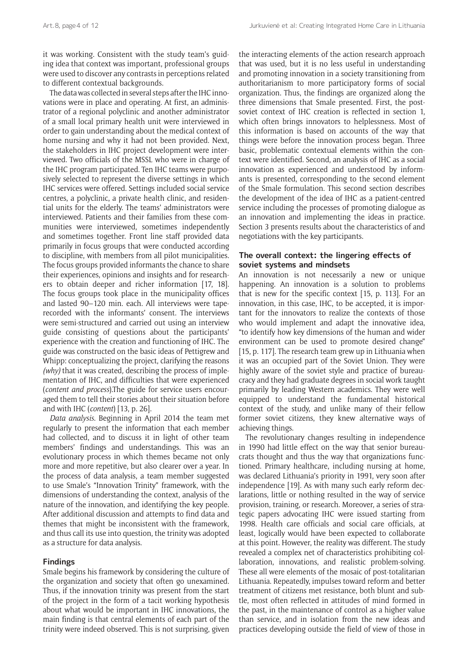it was working. Consistent with the study team's guiding idea that context was important, professional groups were used to discover any contrasts in perceptions related to different contextual backgrounds.

The data was collected in several steps after the IHC innovations were in place and operating. At first, an administrator of a regional polyclinic and another administrator of a small local primary health unit were interviewed in order to gain understanding about the medical context of home nursing and why it had not been provided. Next, the stakeholders in IHC project development were interviewed. Two officials of the MSSL who were in charge of the IHC program participated. Ten IHC teams were purposively selected to represent the diverse settings in which IHC services were offered. Settings included social service centres, a polyclinic, a private health clinic, and residential units for the elderly. The teams' administrators were interviewed. Patients and their families from these communities were interviewed, sometimes independently and sometimes together. Front line staff provided data primarily in focus groups that were conducted according to discipline, with members from all pilot municipalities. The focus groups provided informants the chance to share their experiences, opinions and insights and for researchers to obtain deeper and richer information [17, 18]. The focus groups took place in the municipality offices and lasted 90–120 min. each. All interviews were taperecorded with the informants' consent. The interviews were semi-structured and carried out using an interview guide consisting of questions about the participants' experience with the creation and functioning of IHC. The guide was constructed on the basic ideas of Pettigrew and Whipp: conceptualizing the project, clarifying the reasons *(why)* that it was created*,* describing the process of implementation of IHC, and difficulties that were experienced (*content and process*).The guide for service users encouraged them to tell their stories about their situation before and with IHC (*content*) [13, p. 26].

*Data analysis*. Beginning in April 2014 the team met regularly to present the information that each member had collected, and to discuss it in light of other team members' findings and understandings. This was an evolutionary process in which themes became not only more and more repetitive, but also clearer over a year. In the process of data analysis, a team member suggested to use Smale's "Innovation Trinity" framework, with the dimensions of understanding the context, analysis of the nature of the innovation, and identifying the key people. After additional discussion and attempts to find data and themes that might be inconsistent with the framework, and thus call its use into question, the trinity was adopted as a structure for data analysis.

#### **Findings**

Smale begins his framework by considering the culture of the organization and society that often go unexamined. Thus, if the innovation trinity was present from the start of the project in the form of a tacit working hypothesis about what would be important in IHC innovations, the main finding is that central elements of each part of the trinity were indeed observed. This is not surprising, given

the interacting elements of the action research approach that was used, but it is no less useful in understanding and promoting innovation in a society transitioning from authoritarianism to more participatory forms of social organization. Thus, the findings are organized along the three dimensions that Smale presented. First, the postsoviet context of IHC creation is reflected in section 1, which often brings innovators to helplessness. Most of this information is based on accounts of the way that things were before the innovation process began. Three basic, problematic contextual elements within the context were identified. Second, an analysis of IHC as a social innovation as experienced and understood by informants is presented, corresponding to the second element of the Smale formulation. This second section describes the development of the idea of IHC as a patient-centred service including the processes of promoting dialogue as an innovation and implementing the ideas in practice. Section 3 presents results about the characteristics of and negotiations with the key participants.

#### **The overall context: the lingering effects of soviet systems and mindsets**

An innovation is not necessarily a new or unique happening. An innovation is a solution to problems that is new for the specific context [15, p. 113]. For an innovation, in this case, IHC, to be accepted, it is important for the innovators to realize the contexts of those who would implement and adapt the innovative idea, "to identify how key dimensions of the human and wider environment can be used to promote desired change" [15, p. 117]. The research team grew up in Lithuania when it was an occupied part of the Soviet Union. They were highly aware of the soviet style and practice of bureaucracy and they had graduate degrees in social work taught primarily by leading Western academics. They were well equipped to understand the fundamental historical context of the study, and unlike many of their fellow former soviet citizens, they knew alternative ways of achieving things.

The revolutionary changes resulting in independence in 1990 had little effect on the way that senior bureaucrats thought and thus the way that organizations functioned. Primary healthcare, including nursing at home, was declared Lithuania's priority in 1991, very soon after independence [19]. As with many such early reform declarations, little or nothing resulted in the way of service provision, training, or research. Moreover, a series of strategic papers advocating IHC were issued starting from 1998. Health care officials and social care officials, at least, logically would have been expected to collaborate at this point. However, the reality was different. The study revealed a complex net of characteristics prohibiting collaboration, innovations, and realistic problem-solving. These all were elements of the mosaic of post-totalitarian Lithuania. Repeatedly, impulses toward reform and better treatment of citizens met resistance, both blunt and subtle, most often reflected in attitudes of mind formed in the past, in the maintenance of control as a higher value than service, and in isolation from the new ideas and practices developing outside the field of view of those in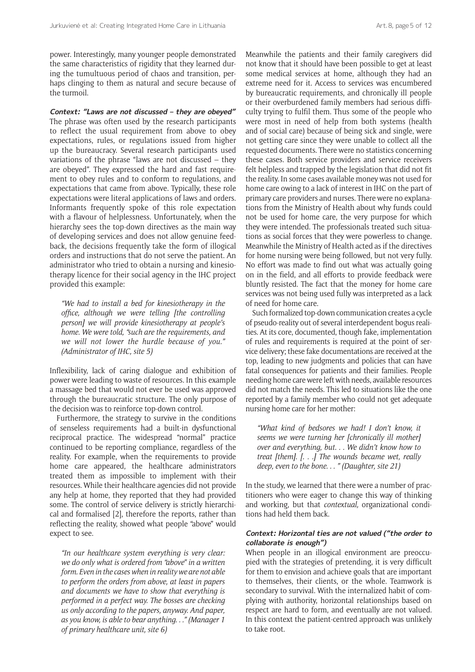power. Interestingly, many younger people demonstrated the same characteristics of rigidity that they learned during the tumultuous period of chaos and transition, perhaps clinging to them as natural and secure because of the turmoil.

**Context: "Laws are not discussed – they are obeyed"** The phrase was often used by the research participants to reflect the usual requirement from above to obey expectations, rules, or regulations issued from higher up the bureaucracy. Several research participants used variations of the phrase "laws are not discussed – they are obeyed". They expressed the hard and fast requirement to obey rules and to conform to regulations, and expectations that came from above. Typically, these role expectations were literal applications of laws and orders. Informants frequently spoke of this role expectation with a flavour of helplessness. Unfortunately, when the hierarchy sees the top-down directives as the main way of developing services and does not allow genuine feedback, the decisions frequently take the form of illogical orders and instructions that do not serve the patient. An administrator who tried to obtain a nursing and kinesiotherapy licence for their social agency in the IHC project provided this example:

*"We had to install a bed for kinesiotherapy in the office, although we were telling [the controlling person] we will provide kinesiotherapy at people's home. We were told, "such are the requirements, and we will not lower the hurdle because of you." (Administrator of IHC, site 5)*

Inflexibility, lack of caring dialogue and exhibition of power were leading to waste of resources. In this example a massage bed that would not ever be used was approved through the bureaucratic structure. The only purpose of the decision was to reinforce top-down control.

Furthermore, the strategy to survive in the conditions of senseless requirements had a built-in dysfunctional reciprocal practice. The widespread "normal" practice continued to be reporting compliance, regardless of the reality. For example, when the requirements to provide home care appeared, the healthcare administrators treated them as impossible to implement with their resources. While their healthcare agencies did not provide any help at home, they reported that they had provided some. The control of service delivery is strictly hierarchical and formalised [2], therefore the reports, rather than reflecting the reality, showed what people "above" would expect to see.

*"In our healthcare system everything is very clear: we do only what is ordered from "above" in a written form. Even in the cases when in reality we are not able to perform the orders from above, at least in papers and documents we have to show that everything is performed in a perfect way. The bosses are checking us only according to the papers, anyway. And paper, as you know, is able to bear anything. . ." (Manager 1 of primary healthcare unit, site 6)* 

Meanwhile the patients and their family caregivers did not know that it should have been possible to get at least some medical services at home, although they had an extreme need for it. Access to services was encumbered by bureaucratic requirements, and chronically ill people or their overburdened family members had serious difficulty trying to fulfil them. Thus some of the people who were most in need of help from both systems (health and of social care) because of being sick and single, were not getting care since they were unable to collect all the requested documents. There were no statistics concerning these cases. Both service providers and service receivers felt helpless and trapped by the legislation that did not fit the reality. In some cases available money was not used for home care owing to a lack of interest in IHC on the part of primary care providers and nurses. There were no explanations from the Ministry of Health about why funds could not be used for home care, the very purpose for which they were intended. The professionals treated such situations as social forces that they were powerless to change. Meanwhile the Ministry of Health acted as if the directives for home nursing were being followed, but not very fully. No effort was made to find out what was actually going on in the field, and all efforts to provide feedback were bluntly resisted. The fact that the money for home care services was not being used fully was interpreted as a lack of need for home care.

Such formalized top-down communication creates a cycle of pseudo-reality out of several interdependent bogus realities. At its core, documented, though fake, implementation of rules and requirements is required at the point of service delivery; these fake documentations are received at the top, leading to new judgments and policies that can have fatal consequences for patients and their families. People needing home care were left with needs, available resources did not match the needs. This led to situations like the one reported by a family member who could not get adequate nursing home care for her mother:

*"What kind of bedsores we had! I don't know, it seems we were turning her [chronically ill mother] over and everything, but. . . We didn't know how to treat [them]. [. . .] The wounds became wet, really deep, even to the bone. . . " (Daughter, site 21)*

In the study, we learned that there were a number of practitioners who were eager to change this way of thinking and working, but that *contextual,* organizational conditions had held them back.

#### **Context: Horizontal ties are not valued ("the order to collaborate is enough")**

When people in an illogical environment are preoccupied with the strategies of pretending, it is very difficult for them to envision and achieve goals that are important to themselves, their clients, or the whole. Teamwork is secondary to survival. With the internalized habit of complying with authority, horizontal relationships based on respect are hard to form, and eventually are not valued. In this context the patient-centred approach was unlikely to take root.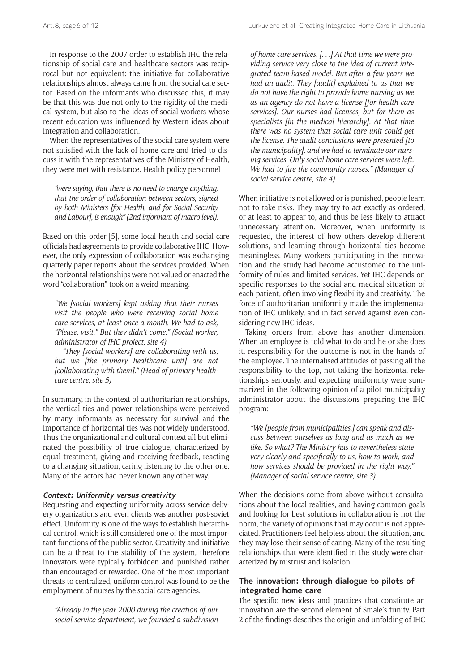Art.8, page6 of 12 **Jurkuviene** et al: Creating Integrated Home Care in Lithuania

In response to the 2007 order to establish IHC the relationship of social care and healthcare sectors was reciprocal but not equivalent: the initiative for collaborative relationships almost always came from the social care sector. Based on the informants who discussed this, it may be that this was due not only to the rigidity of the medical system, but also to the ideas of social workers whose recent education was influenced by Western ideas about integration and collaboration.

When the representatives of the social care system were not satisfied with the lack of home care and tried to discuss it with the representatives of the Ministry of Health, they were met with resistance. Health policy personnel

*"were saying, that there is no need to change anything, that the order of collaboration between sectors, signed by both Ministers [for Health, and for Social Security and Labour], is enough" (2nd informant of macro level).*

Based on this order [5], some local health and social care officials had agreements to provide collaborative IHC. However, the only expression of collaboration was exchanging quarterly paper reports about the services provided. When the horizontal relationships were not valued or enacted the word "collaboration" took on a weird meaning.

*"We [social workers] kept asking that their nurses visit the people who were receiving social home care services, at least once a month. We had to ask, "Please, visit." But they didn't come." (Social worker, administrator of IHC project, site 4)* 

*"They [social workers] are collaborating with us, but we [the primary healthcare unit] are not [collaborating with them]." (Head of primary healthcare centre, site 5)*

In summary, in the context of authoritarian relationships, the vertical ties and power relationships were perceived by many informants as necessary for survival and the importance of horizontal ties was not widely understood. Thus the organizational and cultural context all but eliminated the possibility of true dialogue, characterized by equal treatment, giving and receiving feedback, reacting to a changing situation, caring listening to the other one. Many of the actors had never known any other way.

#### **Context: Uniformity versus creativity**

Requesting and expecting uniformity across service delivery organizations and even clients was another post-soviet effect. Uniformity is one of the ways to establish hierarchical control, which is still considered one of the most important functions of the public sector. Creativity and initiative can be a threat to the stability of the system, therefore innovators were typically forbidden and punished rather than encouraged or rewarded. One of the most important threats to centralized, uniform control was found to be the employment of nurses by the social care agencies.

*"Already in the year 2000 during the creation of our social service department, we founded a subdivision*  *of home care services. [. . .] At that time we were providing service very close to the idea of current integrated team-based model. But after a few years we had an audit. They [audit] explained to us that we do not have the right to provide home nursing as we as an agency do not have a license [for health care services]. Our nurses had licenses, but for them as specialists [in the medical hierarchy]. At that time there was no system that social care unit could get the license. The audit conclusions were presented [to the municipality], and we had to terminate our nursing services. Only social home care services were left. We had to fire the community nurses." (Manager of social service centre, site 4)*

When initiative is not allowed or is punished, people learn not to take risks. They may try to act exactly as ordered, or at least to appear to, and thus be less likely to attract unnecessary attention. Moreover, when uniformity is requested, the interest of how others develop different solutions, and learning through horizontal ties become meaningless. Many workers participating in the innovation and the study had become accustomed to the uniformity of rules and limited services. Yet IHC depends on specific responses to the social and medical situation of each patient, often involving flexibility and creativity. The force of authoritarian uniformity made the implementation of IHC unlikely, and in fact served against even considering new IHC ideas.

Taking orders from above has another dimension. When an employee is told what to do and he or she does it, responsibility for the outcome is not in the hands of the employee. The internalised attitudes of passing all the responsibility to the top, not taking the horizontal relationships seriously, and expecting uniformity were summarized in the following opinion of a pilot municipality administrator about the discussions preparing the IHC program:

*"We [people from municipalities,] can speak and discuss between ourselves as long and as much as we like. So what? The Ministry has to nevertheless state very clearly and specifically to us, how to work, and how services should be provided in the right way." (Manager of social service centre, site 3)*

When the decisions come from above without consultations about the local realities, and having common goals and looking for best solutions in collaboration is not the norm, the variety of opinions that may occur is not appreciated. Practitioners feel helpless about the situation, and they may lose their sense of caring. Many of the resulting relationships that were identified in the study were characterized by mistrust and isolation.

### **The innovation: through dialogue to pilots of integrated home care**

The specific new ideas and practices that constitute an innovation are the second element of Smale's trinity. Part 2 of the findings describes the origin and unfolding of IHC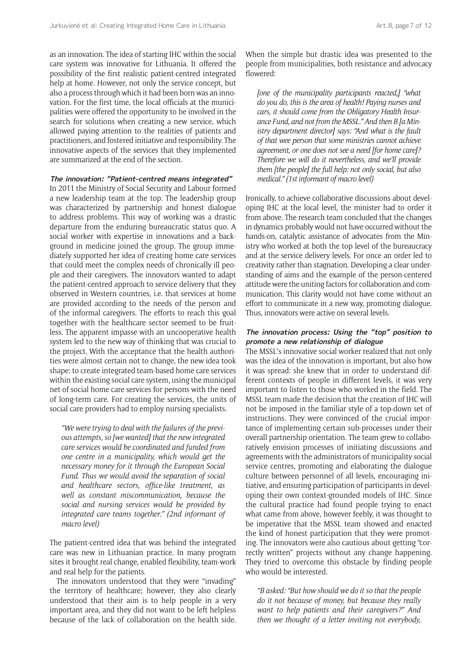as an innovation. The idea of starting IHC within the social care system was innovative for Lithuania. It offered the possibility of the first realistic patient-centred integrated help at home. However, not only the service concept, but also a process through which it had been born was an innovation. For the first time, the local officials at the municipalities were offered the opportunity to be involved in the search for solutions when creating a new service, which allowed paying attention to the realities of patients and practitioners, and fostered initiative and responsibility. The innovative aspects of the services that they implemented are summarized at the end of the section.

#### **The innovation: "Patient-centred means integrated"**

In 2011 the Ministry of Social Security and Labour formed a new leadership team at the top. The leadership group was characterized by partnership and honest dialogue to address problems. This way of working was a drastic departure from the enduring bureaucratic status quo. A social worker with expertise in innovations and a background in medicine joined the group. The group immediately supported her idea of creating home care services that could meet the complex needs of chronically ill people and their caregivers. The innovators wanted to adapt the patient-centred approach to service delivery that they observed in Western countries, i.e. that services at home are provided according to the needs of the person and of the informal caregivers. The efforts to reach this goal together with the healthcare sector seemed to be fruitless. The apparent impasse with an uncooperative health system led to the new way of thinking that was crucial to the project. With the acceptance that the health authorities were almost certain not to change, the new idea took shape: to create integrated team-based home care services within the existing social care system, using the municipal net of social home care services for persons with the need of long-term care. For creating the services, the units of social care providers had to employ nursing specialists.

*"We were trying to deal with the failures of the previous attempts, so [we wanted] that the new integrated care services would be coordinated and funded from one centre in a municipality, which would get the necessary money for it through the European Social Fund. Thus we would avoid the separation of social and healthcare sectors, office-like treatment, as well as constant miscommunication, because the social and nursing services would be provided by integrated care teams together." (2nd informant of macro level)*

The patient-centred idea that was behind the integrated care was new in Lithuanian practice. In many program sites it brought real change, enabled flexibility, team-work and real help for the patients.

The innovators understood that they were "invading" the territory of healthcare; however, they also clearly understood that their aim is to help people in a very important area, and they did not want to be left helpless because of the lack of collaboration on the health side.

When the simple but drastic idea was presented to the people from municipalities, both resistance and advocacy flowered:

*[one of the municipality participants reacted,] "what do you do, this is the area of health! Paying nurses and cars, it should come from the Obligatory Health Insurance Fund, and not from the MSSL." And then B [a Ministry department director] says: "And what is the fault of that wee person that some ministries cannot achieve agreement, or one does not see a need [for home care]? Therefore we will do it nevertheless, and we'll provide them [the people] the full help: not only social, but also medical." (1st informant of macro level)*

Ironically, to achieve collaborative discussions about developing IHC at the local level, the minister had to order it from above. The research team concluded that the changes in dynamics probably would not have occurred without the hands-on, catalytic assistance of advocates from the Ministry who worked at both the top level of the bureaucracy and at the service delivery levels. For once an order led to creativity rather than stagnation. Developing a clear understanding of aims and the example of the person-centered attitude were the uniting factors for collaboration and communication. This clarity would not have come without an effort to communicate in a new way, promoting dialogue. Thus, innovators were active on several levels.

#### **The innovation process: Using the "top" position to promote a new relationship of dialogue**

The MSSL's innovative social worker realized that not only was the idea of the innovation is important, but also how it was spread: she knew that in order to understand different contexts of people in different levels, it was very important to listen to those who worked in the field. The MSSL team made the decision that the creation of IHC will not be imposed in the familiar style of a top-down set of instructions. They were convinced of the crucial importance of implementing certain sub-processes under their overall partnership orientation. The team grew to collaboratively envision processes of initiating discussions and agreements with the administrators of municipality social service centres, promoting and elaborating the dialogue culture between personnel of all levels, encouraging initiative, and ensuring participation of participants in developing their own context-grounded models of IHC. Since the cultural practice had found people trying to enact what came from above, however feebly, it was thought to be imperative that the MSSL team showed and enacted the kind of honest participation that they were promoting. The innovators were also cautious about getting "correctly written" projects without any change happening. They tried to overcome this obstacle by finding people who would be interested.

*"B asked: "But how should we do it so that the people do it not because of money, but because they really want to help patients and their caregivers?" And then we thought of a letter inviting not everybody,*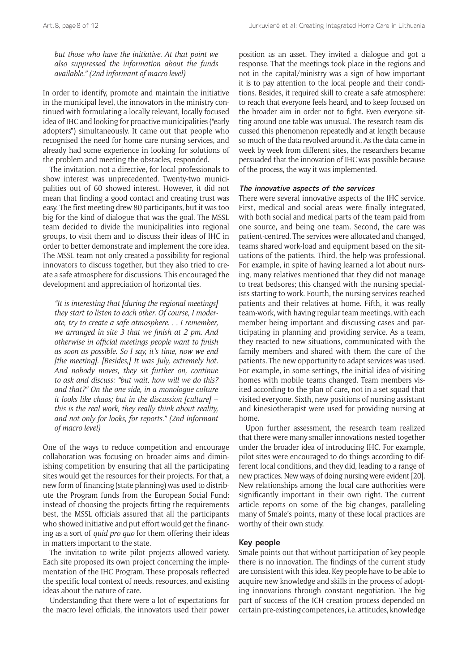*but those who have the initiative. At that point we also suppressed the information about the funds available." (2nd informant of macro level)*

In order to identify, promote and maintain the initiative in the municipal level, the innovators in the ministry continued with formulating a locally relevant, locally focused idea of IHC and looking for proactive municipalities ("early adopters") simultaneously. It came out that people who recognised the need for home care nursing services, and already had some experience in looking for solutions of the problem and meeting the obstacles, responded.

The invitation, not a directive, for local professionals to show interest was unprecedented. Twenty-two municipalities out of 60 showed interest. However, it did not mean that finding a good contact and creating trust was easy. The first meeting drew 80 participants, but it was too big for the kind of dialogue that was the goal. The MSSL team decided to divide the municipalities into regional groups, to visit them and to discuss their ideas of IHC in order to better demonstrate and implement the core idea. The MSSL team not only created a possibility for regional innovators to discuss together, but they also tried to create a safe atmosphere for discussions. This encouraged the development and appreciation of horizontal ties.

*"It is interesting that [during the regional meetings] they start to listen to each other. Of course, I moderate, try to create a safe atmosphere. . . I remember, we arranged in site 3 that we finish at 2 pm. And otherwise in official meetings people want to finish as soon as possible. So I say, it's time, now we end [the meeting]. [Besides,] It was July, extremely hot. And nobody moves, they sit further on, continue to ask and discuss: "but wait, how will we do this? and that?" On the one side, in a monologue culture it looks like chaos; but in the discussion [culture] – this is the real work, they really think about reality, and not only for looks, for reports." (2nd informant of macro level)*

One of the ways to reduce competition and encourage collaboration was focusing on broader aims and diminishing competition by ensuring that all the participating sites would get the resources for their projects. For that, a new form of financing (state planning) was used to distribute the Program funds from the European Social Fund: instead of choosing the projects fitting the requirements best, the MSSL officials assured that all the participants who showed initiative and put effort would get the financing as a sort of *quid pro quo* for them offering their ideas in matters important to the state.

The invitation to write pilot projects allowed variety. Each site proposed its own project concerning the implementation of the IHC Program. These proposals reflected the specific local context of needs, resources, and existing ideas about the nature of care.

Understanding that there were a lot of expectations for the macro level officials, the innovators used their power

position as an asset. They invited a dialogue and got a response. That the meetings took place in the regions and not in the capital/ministry was a sign of how important it is to pay attention to the local people and their conditions. Besides, it required skill to create a safe atmosphere: to reach that everyone feels heard, and to keep focused on the broader aim in order not to fight. Even everyone sitting around one table was unusual. The research team discussed this phenomenon repeatedly and at length because so much of the data revolved around it. As the data came in week by week from different sites, the researchers became persuaded that the innovation of IHC was possible because of the process, the way it was implemented.

#### **The innovative aspects of the services**

There were several innovative aspects of the IHC service. First, medical and social areas were finally integrated, with both social and medical parts of the team paid from one source, and being one team. Second, the care was patient-centred. The services were allocated and changed, teams shared work-load and equipment based on the situations of the patients. Third, the help was professional. For example, in spite of having learned a lot about nursing, many relatives mentioned that they did not manage to treat bedsores; this changed with the nursing specialists starting to work. Fourth, the nursing services reached patients and their relatives at home. Fifth, it was really team-work, with having regular team meetings, with each member being important and discussing cases and participating in planning and providing service. As a team, they reacted to new situations, communicated with the family members and shared with them the care of the patients. The new opportunity to adapt services was used. For example, in some settings, the initial idea of visiting homes with mobile teams changed. Team members visited according to the plan of care, not in a set squad that visited everyone. Sixth, new positions of nursing assistant and kinesiotherapist were used for providing nursing at home.

Upon further assessment, the research team realized that there were many smaller innovations nested together under the broader idea of introducing IHC. For example, pilot sites were encouraged to do things according to different local conditions, and they did, leading to a range of new practices. New ways of doing nursing were evident [20]. New relationships among the local care authorities were significantly important in their own right. The current article reports on some of the big changes, paralleling many of Smale's points, many of these local practices are worthy of their own study.

#### **Key people**

Smale points out that without participation of key people there is no innovation. The findings of the current study are consistent with this idea. Key people have to be able to acquire new knowledge and skills in the process of adopting innovations through constant negotiation. The big part of success of the ICH creation process depended on certain pre-existing competences, i.e. attitudes, knowledge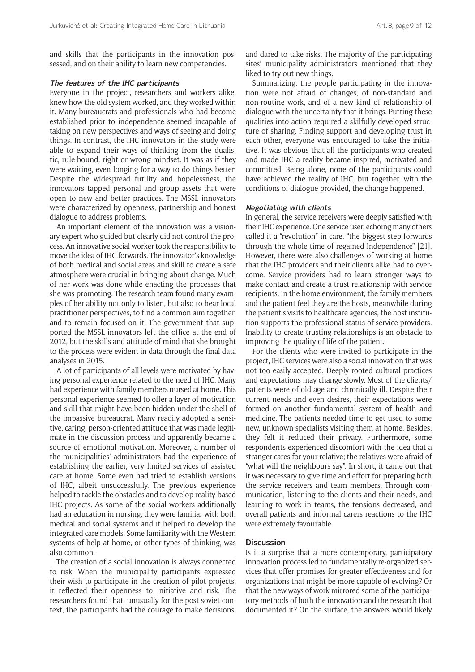and skills that the participants in the innovation possessed, and on their ability to learn new competencies.

#### **The features of the IHC participants**

Everyone in the project, researchers and workers alike, knew how the old system worked, and they worked within it. Many bureaucrats and professionals who had become established prior to independence seemed incapable of taking on new perspectives and ways of seeing and doing things. In contrast, the IHC innovators in the study were able to expand their ways of thinking from the dualistic, rule-bound, right or wrong mindset. It was as if they were waiting, even longing for a way to do things better. Despite the widespread futility and hopelessness, the innovators tapped personal and group assets that were open to new and better practices. The MSSL innovators were characterized by openness, partnership and honest dialogue to address problems.

An important element of the innovation was a visionary expert who guided but clearly did not control the process. An innovative social worker took the responsibility to move the idea of IHC forwards. The innovator's knowledge of both medical and social areas and skill to create a safe atmosphere were crucial in bringing about change. Much of her work was done while enacting the processes that she was promoting. The research team found many examples of her ability not only to listen, but also to hear local practitioner perspectives, to find a common aim together, and to remain focused on it. The government that supported the MSSL innovators left the office at the end of 2012, but the skills and attitude of mind that she brought to the process were evident in data through the final data analyses in 2015.

A lot of participants of all levels were motivated by having personal experience related to the need of IHC. Many had experience with family members nursed at home. This personal experience seemed to offer a layer of motivation and skill that might have been hidden under the shell of the impassive bureaucrat. Many readily adopted a sensitive, caring, person-oriented attitude that was made legitimate in the discussion process and apparently became a source of emotional motivation. Moreover, a number of the municipalities' administrators had the experience of establishing the earlier, very limited services of assisted care at home. Some even had tried to establish versions of IHC, albeit unsuccessfully. The previous experience helped to tackle the obstacles and to develop reality-based IHC projects. As some of the social workers additionally had an education in nursing, they were familiar with both medical and social systems and it helped to develop the integrated care models. Some familiarity with the Western systems of help at home, or other types of thinking, was also common.

The creation of a social innovation is always connected to risk. When the municipality participants expressed their wish to participate in the creation of pilot projects, it reflected their openness to initiative and risk. The researchers found that, unusually for the post-soviet context, the participants had the courage to make decisions,

and dared to take risks. The majority of the participating sites' municipality administrators mentioned that they liked to try out new things.

Summarizing, the people participating in the innovation were not afraid of changes, of non-standard and non-routine work, and of a new kind of relationship of dialogue with the uncertainty that it brings. Putting these qualities into action required a skilfully developed structure of sharing. Finding support and developing trust in each other, everyone was encouraged to take the initiative. It was obvious that all the participants who created and made IHC a reality became inspired, motivated and committed. Being alone, none of the participants could have achieved the reality of IHC, but together, with the conditions of dialogue provided, the change happened.

#### **Negotiating with clients**

In general, the service receivers were deeply satisfied with their IHC experience. One service user, echoing many others called it a "revolution" in care, "the biggest step forwards through the whole time of regained Independence" [21]. However, there were also challenges of working at home that the IHC providers and their clients alike had to overcome. Service providers had to learn stronger ways to make contact and create a trust relationship with service recipients. In the home environment, the family members and the patient feel they are the hosts, meanwhile during the patient's visits to healthcare agencies, the host institution supports the professional status of service providers. Inability to create trusting relationships is an obstacle to improving the quality of life of the patient.

For the clients who were invited to participate in the project, IHC services were also a social innovation that was not too easily accepted. Deeply rooted cultural practices and expectations may change slowly. Most of the clients/ patients were of old age and chronically ill. Despite their current needs and even desires, their expectations were formed on another fundamental system of health and medicine. The patients needed time to get used to some new, unknown specialists visiting them at home. Besides, they felt it reduced their privacy. Furthermore, some respondents experienced discomfort with the idea that a stranger cares for your relative; the relatives were afraid of "what will the neighbours say". In short, it came out that it was necessary to give time and effort for preparing both the service receivers and team members. Through communication, listening to the clients and their needs, and learning to work in teams, the tensions decreased, and overall patients and informal carers reactions to the IHC were extremely favourable.

#### **Discussion**

Is it a surprise that a more contemporary, participatory innovation process led to fundamentally re-organized services that offer promises for greater effectiveness and for organizations that might be more capable of evolving? Or that the new ways of work mirrored some of the participatory methods of both the innovation and the research that documented it? On the surface, the answers would likely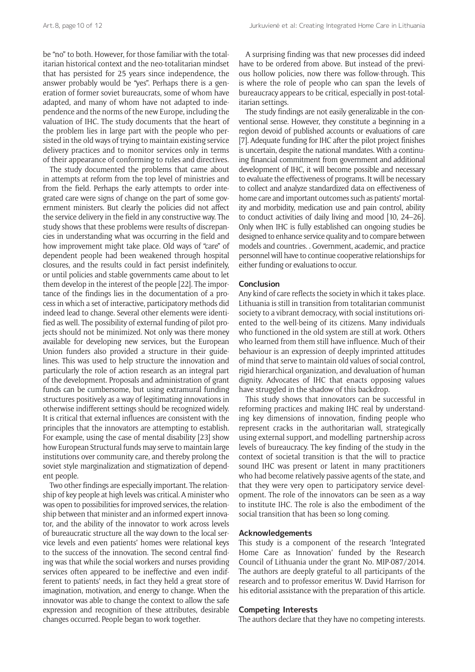be "no" to both. However, for those familiar with the totalitarian historical context and the neo-totalitarian mindset that has persisted for 25 years since independence, the answer probably would be "yes". Perhaps there is a generation of former soviet bureaucrats, some of whom have adapted, and many of whom have not adapted to independence and the norms of the new Europe, including the valuation of IHC. The study documents that the heart of the problem lies in large part with the people who persisted in the old ways of trying to maintain existing service delivery practices and to monitor services only in terms of their appearance of conforming to rules and directives.

The study documented the problems that came about in attempts at reform from the top level of ministries and from the field. Perhaps the early attempts to order integrated care were signs of change on the part of some government ministers. But clearly the policies did not affect the service delivery in the field in any constructive way. The study shows that these problems were results of discrepancies in understanding what was occurring in the field and how improvement might take place. Old ways of "care" of dependent people had been weakened through hospital closures, and the results could in fact persist indefinitely, or until policies and stable governments came about to let them develop in the interest of the people [22]. The importance of the findings lies in the documentation of a process in which a set of interactive, participatory methods did indeed lead to change. Several other elements were identified as well. The possibility of external funding of pilot projects should not be minimized. Not only was there money available for developing new services, but the European Union funders also provided a structure in their guidelines. This was used to help structure the innovation and particularly the role of action research as an integral part of the development. Proposals and administration of grant funds can be cumbersome, but using extramural funding structures positively as a way of legitimating innovations in otherwise indifferent settings should be recognized widely. It is critical that external influences are consistent with the principles that the innovators are attempting to establish. For example, using the case of mental disability [23] show how European Structural funds may serve to maintain large institutions over community care, and thereby prolong the soviet style marginalization and stigmatization of dependent people.

Two other findings are especially important. The relationship of key people at high levels was critical. A minister who was open to possibilities for improved services, the relationship between that minister and an informed expert innovator, and the ability of the innovator to work across levels of bureaucratic structure all the way down to the local service levels and even patients' homes were relational keys to the success of the innovation. The second central finding was that while the social workers and nurses providing services often appeared to be ineffective and even indifferent to patients' needs, in fact they held a great store of imagination, motivation, and energy to change. When the innovator was able to change the context to allow the safe expression and recognition of these attributes, desirable changes occurred. People began to work together.

A surprising finding was that new processes did indeed have to be ordered from above. But instead of the previous hollow policies, now there was follow-through. This is where the role of people who can span the levels of bureaucracy appears to be critical, especially in post-totalitarian settings.

The study findings are not easily generalizable in the conventional sense. However, they constitute a beginning in a region devoid of published accounts or evaluations of care [7]. Adequate funding for IHC after the pilot project finishes is uncertain, despite the national mandates. With a continuing financial commitment from government and additional development of IHC, it will become possible and necessary to evaluate the effectiveness of programs. It will be necessary to collect and analyze standardized data on effectiveness of home care and important outcomes such as patients' mortality and morbidity, medication use and pain control, ability to conduct activities of daily living and mood [10, 24–26]. Only when IHC is fully established can ongoing studies be designed to enhance service quality and to compare between models and countries. . Government, academic, and practice personnel will have to continue cooperative relationships for either funding or evaluations to occur.

#### **Conclusion**

Any kind of care reflects the society in which it takes place. Lithuania is still in transition from totalitarian communist society to a vibrant democracy, with social institutions oriented to the well-being of its citizens. Many individuals who functioned in the old system are still at work. Others who learned from them still have influence. Much of their behaviour is an expression of deeply imprinted attitudes of mind that serve to maintain old values of social control, rigid hierarchical organization, and devaluation of human dignity. Advocates of IHC that enacts opposing values have struggled in the shadow of this backdrop.

This study shows that innovators can be successful in reforming practices and making IHC real by understanding key dimensions of innovation, finding people who represent cracks in the authoritarian wall, strategically using external support, and modelling partnership across levels of bureaucracy. The key finding of the study in the context of societal transition is that the will to practice sound IHC was present or latent in many practitioners who had become relatively passive agents of the state, and that they were very open to participatory service development. The role of the innovators can be seen as a way to institute IHC. The role is also the embodiment of the social transition that has been so long coming.

#### **Acknowledgements**

This study is a component of the research 'Integrated Home Care as Innovation' funded by the Research Council of Lithuania under the grant No. MIP-087/2014. The authors are deeply grateful to all participants of the research and to professor emeritus W. David Harrison for his editorial assistance with the preparation of this article.

#### **Competing Interests**

The authors declare that they have no competing interests.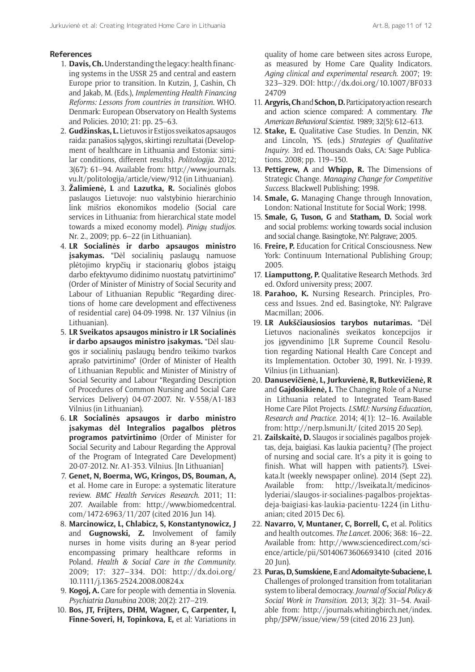#### **References**

- 1. **Davis, Ch.** Understanding the legacy: health financing systems in the USSR 25 and central and eastern Europe prior to transition. In Kutzin, J, Cashin, Ch and Jakab, M. (Eds.), *Implementing Health Financing Reforms: Lessons from countries in transition*. WHO. Denmark: European Observatory on Health Systems and Policies. 2010; 21: pp. 25–63.
- 2. **Gudžinskas, L.** Lietuvos ir Estijos sveikatos apsaugos raida: panašios sąlygos, skirtingi rezultatai (Development of healthcare in Lithuania and Estonia: similar conditions, different results). *Politologija*. 2012; 3(67): 61–94. Available from: http://www.journals. vu.lt/politologija/article/view/912 (in Lithuanian).
- 3. **Žalimienė, L** and **Lazutka, R.** Socialinės globos paslaugos Lietuvoje: nuo valstybinio hierarchinio link mišrios ekonomikos modelio (Social care services in Lithuania: from hierarchical state model towards a mixed economy model). *Pinigų studijos*. Nr. 2., 2009; pp. 6–22 (in Lithuanian).
- 4. **LR Socialinės ir darbo apsaugos ministro įsakymas.** "Dėl socialinių paslaugų namuose plėtojimo krypčių ir stacionarių globos įstaigų darbo efektyvumo didinimo nuostatų patvirtinimo" (Order of Minister of Ministry of Social Security and Labour of Lithuanian Republic "Regarding directions of home care development and effectiveness of residential care) 04-09-1998. Nr. 137 Vilnius (in Lithuanian).
- 5. **LR Sveikatos apsaugos ministro ir LR Socialinės ir darbo apsaugos ministro įsakymas.** "Dėl slaugos ir socialinių paslaugų bendro teikimo tvarkos aprašo patvirtinimo" (Order of Minister of Health of Lithuanian Republic and Minister of Ministry of Social Security and Labour "Regarding Description of Procedures of Common Nursing and Social Care Services Delivery) 04-07-2007. Nr. V-558/A1-183 Vilnius (in Lithuanian).
- 6. **LR Socialinės apsaugos ir darbo ministro įsakymas dėl Integralios pagalbos plėtros programos patvirtinimo** (Order of Minister for Social Security and Labour Regarding the Approval of the Program of Integrated Care Development) 20-07-2012. Nr. A1-353. Vilnius. [In Lithuanian]
- 7. **Genet, N, Boerma, WG, Kringos, DS, Bouman, A,** et al. Home care in Europe: a systematic literature review. *BMC Health Services Research*. 2011; 11: 207. Available from: [http://www.biomedcentral.](http://www.biomedcentral.com/1472-6963/11/207) [com/1472-6963/11/207](http://www.biomedcentral.com/1472-6963/11/207) (cited 2016 Jun 14).
- 8. **Marcinowicz, L, Chlabicz, S, Konstantynowicz, J** and **Gugnowski, Z.** Involvement of family nurses in home visits during an 8-year period encompassing primary healthcare reforms in Poland. *Health & Social Care in the Community*. 2009; 17: 327–334. DOI: [http://dx.doi.org/](http://dx.doi.org/10.1111/j.1365-2524.2008.00824.x) [10.1111/j.1365-2524.2008.00824.x](http://dx.doi.org/10.1111/j.1365-2524.2008.00824.x)
- 9. **Kogoj, A.** Care for people with dementia in Slovenia. *Psychiatria Danubina* 2008; 20(2): 217–219.
- 10. **Bos, JT, Frijters, DHM, Wagner, C, Carpenter, I, Finne-Soveri, H, Topinkova, E,** et al: Variations in

quality of home care between sites across Europe, as measured by Home Care Quality Indicators. *Aging clinical and experimental research*. 2007; 19: 323–329. DOI: [http://dx.doi.org/10.1007/BF033](http://dx.doi.org/10.1007/BF03324709) [24709](http://dx.doi.org/10.1007/BF03324709)

- 11. **Argyris, Ch** and **Schon, D.** Participatory action research and action science compared: A commentary. *The American Behavioral Scientist*. 1989; 32(5): 612–613.
- 12. **Stake, E.** Qualitative Case Studies. In Denzin, NK and Lincoln, YS. (eds.) *Strategies of Qualitative Inquiry*. 3rd ed. Thousands Oaks, CA: Sage Publications. 2008; pp. 119–150.
- 13. **Pettigrew, A** and **Whipp, R.** The Dimensions of Strategic Change. *Managing Change for Competitive Success*. Blackwell Publishing; 1998.
- 14. **Smale, G.** Managing Change through Innovation, London: National Institute for Social Work; 1998.
- 15. **Smale, G, Tuson, G** and **Statham, D.** Social work and social problems: working towards social inclusion and social change. Basingtoke, NY: Palgrave; 2005.
- 16. **Freire, P.** Education for Critical Consciousness. New York: Continuum International Publishing Group; 2005.
- 17. **Liamputtong, P.** Qualitative Research Methods. 3rd ed. Oxford university press; 2007.
- 18. **Parahoo, K.** Nursing Research. Principles, Process and Issues. 2nd ed. Basingtoke, NY: Palgrave Macmillan; 2006.
- 19. **LR Aukščiausiosios tarybos nutarimas.** "Dėl Lietuvos nacionalinės sveikatos koncepcijos ir jos įgyvendinimo [LR Supreme Council Resolution regarding National Health Care Concept and its Implementation. October 30, 1991. Nr. I-1939. Vilnius (in Lithuanian).
- 20. **Danusevičienė, L, Jurkuvienė, R, Butkevičienė, R** and **Gajdosikienė, I.** The Changing Role of a Nurse in Lithuania related to Integrated Team-Based Home Care Pilot Projects. *LSMU: Nursing Education, Research and Practice*. 2014; 4(1): 12–16. Available from: http://nerp.lsmuni.lt/ (cited 2015 20 Sep).
- 21. **Zailskaitė, D.** Slaugos ir socialinės pagalbos projektas, deja, baigiasi. Kas laukia pacientų? (The project of nursing and social care. It's a pity it is going to finish. What will happen with patients?). LSveikata.lt (weekly newspaper online). 2014 (Sept 22). Available from: http://lsveikata.lt/medicinoslyderiai/slaugos-ir-socialines-pagalbos-projektasdeja-baigiasi-kas-laukia-pacientu-1224 (in Lithuanian; cited 2015 Dec 6).
- 22. **Navarro, V, Muntaner, C, Borrell, C,** et al. Politics and health outcomes. *The Lancet*. 2006; 368: 16–22. Available from: [http://www.sciencedirect.com/sci](http://www.sciencedirect.com/science/article/pii/S0140673606693410)[ence/article/pii/S0140673606693410](http://www.sciencedirect.com/science/article/pii/S0140673606693410) (cited 2016 20 Jun).
- 23. **Puras, D, Sumskiene, E** and **Adomaityte-Subaciene, I.** Challenges of prolonged transition from totalitarian system to liberal democracy. *Journal of Social Policy & Social Work in Transition*. 2013; 3(2): 31–54. Available from: [http://journals.whitingbirch.net/index.](http://journals.whitingbirch.net/index.php/JSPW/issue/view/59) [php/JSPW/issue/view/59](http://journals.whitingbirch.net/index.php/JSPW/issue/view/59) (cited 2016 23 Jun).